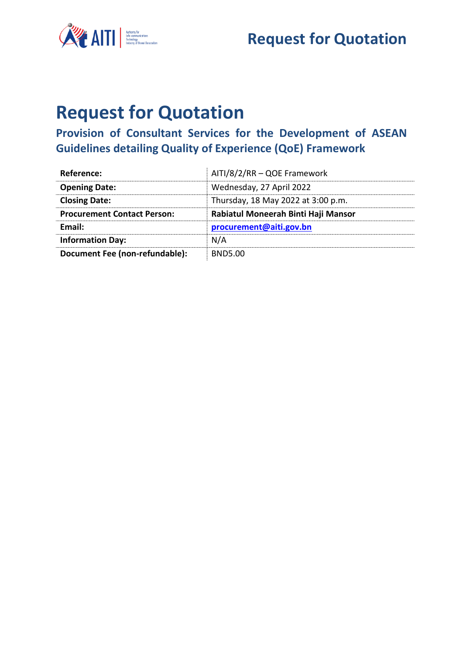



## **Request for Quotation**

## **Provision of Consultant Services for the Development of ASEAN Guidelines detailing Quality of Experience (QoE) Framework**

| Reference:                         | AITI/8/2/RR - QOE Framework         |
|------------------------------------|-------------------------------------|
| <b>Opening Date:</b>               | Wednesday, 27 April 2022            |
| <b>Closing Date:</b>               | Thursday, 18 May 2022 at 3:00 p.m.  |
| <b>Procurement Contact Person:</b> | Rabiatul Moneerah Binti Haji Mansor |
| Email:                             | procurement@aiti.gov.bn             |
| <b>Information Day:</b>            | N/A                                 |
| Document Fee (non-refundable):     | <b>BND5.00</b>                      |